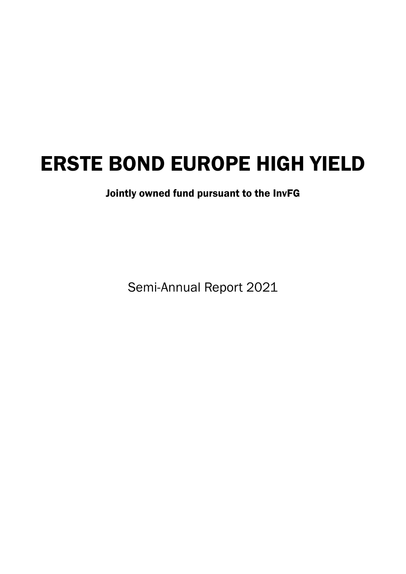Jointly owned fund pursuant to the InvFG

Semi-Annual Report 2021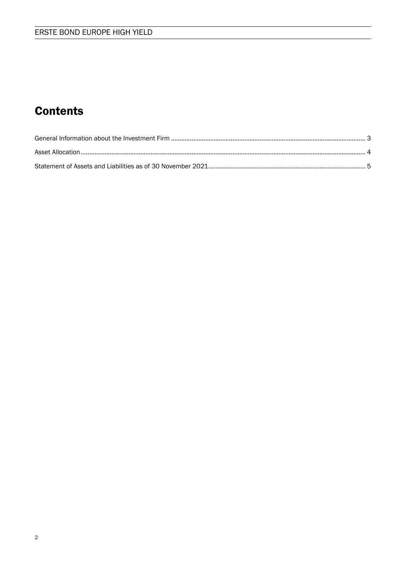## **Contents**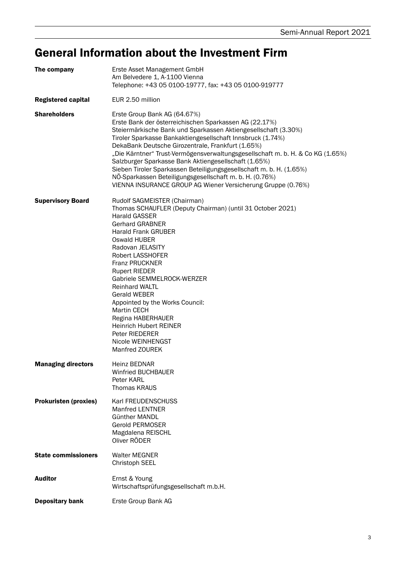## General Information about the Investment Firm

| The company                  | Erste Asset Management GmbH<br>Am Belvedere 1, A-1100 Vienna<br>Telephone: +43 05 0100-19777, fax: +43 05 0100-919777                                                                                                                                                                                                                                                                                                                                                                                                                                                                                                   |
|------------------------------|-------------------------------------------------------------------------------------------------------------------------------------------------------------------------------------------------------------------------------------------------------------------------------------------------------------------------------------------------------------------------------------------------------------------------------------------------------------------------------------------------------------------------------------------------------------------------------------------------------------------------|
| <b>Registered capital</b>    | EUR 2.50 million                                                                                                                                                                                                                                                                                                                                                                                                                                                                                                                                                                                                        |
| <b>Shareholders</b>          | Erste Group Bank AG (64.67%)<br>Erste Bank der österreichischen Sparkassen AG (22.17%)<br>Steiermärkische Bank und Sparkassen Aktiengesellschaft (3.30%)<br>Tiroler Sparkasse Bankaktiengesellschaft Innsbruck (1.74%)<br>DekaBank Deutsche Girozentrale, Frankfurt (1.65%)<br>"Die Kärntner" Trust-Vermögensverwaltungsgesellschaft m. b. H. & Co KG (1.65%)<br>Salzburger Sparkasse Bank Aktiengesellschaft (1.65%)<br>Sieben Tiroler Sparkassen Beteiligungsgesellschaft m. b. H. (1.65%)<br>NÖ-Sparkassen Beteiligungsgesellschaft m. b. H. (0.76%)<br>VIENNA INSURANCE GROUP AG Wiener Versicherung Gruppe (0.76%) |
| <b>Supervisory Board</b>     | Rudolf SAGMEISTER (Chairman)<br>Thomas SCHAUFLER (Deputy Chairman) (until 31 October 2021)<br><b>Harald GASSER</b><br><b>Gerhard GRABNER</b><br><b>Harald Frank GRUBER</b><br><b>Oswald HUBER</b><br>Radovan JELASITY<br><b>Robert LASSHOFER</b><br><b>Franz PRUCKNER</b><br><b>Rupert RIEDER</b><br>Gabriele SEMMELROCK-WERZER<br><b>Reinhard WALTL</b><br><b>Gerald WEBER</b><br>Appointed by the Works Council:<br><b>Martin CECH</b><br>Regina HABERHAUER<br><b>Heinrich Hubert REINER</b><br>Peter RIEDERER<br>Nicole WEINHENGST<br>Manfred ZOUREK                                                                 |
| <b>Managing directors</b>    | Heinz BEDNAR<br>Winfried BUCHBAUER<br>Peter KARL<br><b>Thomas KRAUS</b>                                                                                                                                                                                                                                                                                                                                                                                                                                                                                                                                                 |
| <b>Prokuristen (proxies)</b> | Karl FREUDENSCHUSS<br><b>Manfred LENTNER</b><br>Günther MANDL<br><b>Gerold PERMOSER</b><br>Magdalena REISCHL<br>Oliver RÖDER                                                                                                                                                                                                                                                                                                                                                                                                                                                                                            |
| <b>State commissioners</b>   | <b>Walter MEGNER</b><br><b>Christoph SEEL</b>                                                                                                                                                                                                                                                                                                                                                                                                                                                                                                                                                                           |
| <b>Auditor</b>               | Ernst & Young<br>Wirtschaftsprüfungsgesellschaft m.b.H.                                                                                                                                                                                                                                                                                                                                                                                                                                                                                                                                                                 |
| <b>Depositary bank</b>       | Erste Group Bank AG                                                                                                                                                                                                                                                                                                                                                                                                                                                                                                                                                                                                     |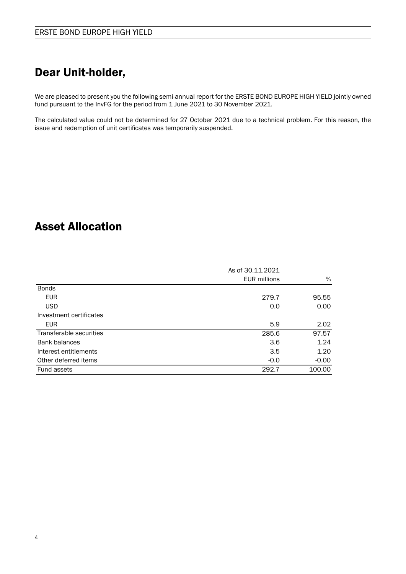## Dear Unit-holder,

We are pleased to present you the following semi-annual report for the ERSTE BOND EUROPE HIGH YIELD jointly owned fund pursuant to the InvFG for the period from 1 June 2021 to 30 November 2021.

The calculated value could not be determined for 27 October 2021 due to a technical problem. For this reason, the issue and redemption of unit certificates was temporarily suspended.

## Asset Allocation

|                         | As of 30.11.2021    |         |
|-------------------------|---------------------|---------|
|                         | <b>EUR millions</b> | %       |
| <b>Bonds</b>            |                     |         |
| <b>EUR</b>              | 279.7               | 95.55   |
| <b>USD</b>              | 0.0                 | 0.00    |
| Investment certificates |                     |         |
| EUR.                    | 5.9                 | 2.02    |
| Transferable securities | 285.6               | 97.57   |
| Bank balances           | 3.6                 | 1.24    |
| Interest entitlements   | 3.5                 | 1.20    |
| Other deferred items    | $-0.0$              | $-0.00$ |
| <b>Fund assets</b>      | 292.7               | 100.00  |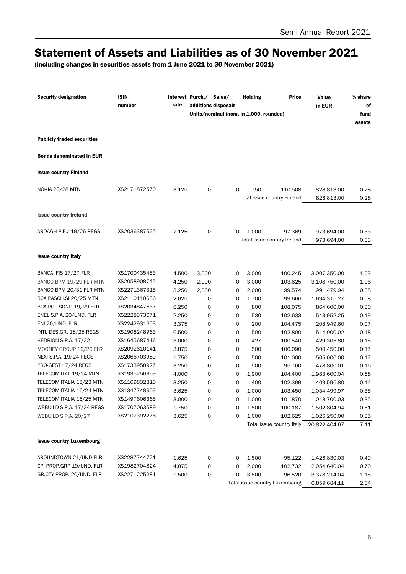## Statement of Assets and Liabilities as of 30 November 2021

(including changes in securities assets from 1 June 2021 to 30 November 2021)

| <b>Security designation</b>                          | <b>ISIN</b><br>number        | rate           | Interest Purch./ Sales/<br>additions disposals | Units/nominal (nom. in 1,000, rounded) | <b>Holding</b> | Price                          | Value<br>in EUR              | % share<br>оf<br>fund<br>assets |
|------------------------------------------------------|------------------------------|----------------|------------------------------------------------|----------------------------------------|----------------|--------------------------------|------------------------------|---------------------------------|
| <b>Publicly traded securities</b>                    |                              |                |                                                |                                        |                |                                |                              |                                 |
| <b>Bonds denominated in EUR</b>                      |                              |                |                                                |                                        |                |                                |                              |                                 |
| <b>Issue country Finland</b>                         |                              |                |                                                |                                        |                |                                |                              |                                 |
| <b>NOKIA 20/28 MTN</b>                               | XS2171872570                 | 3.125          | 0                                              | $\mathbf 0$                            | 750            | 110.508                        | 828,813.00                   | 0.28                            |
|                                                      |                              |                |                                                |                                        |                | Total issue country Finland    | 828,813.00                   | 0.28                            |
| <b>Issue country Ireland</b>                         |                              |                |                                                |                                        |                |                                |                              |                                 |
| ARDAGH P.F./ 19/26 REGS                              | XS2036387525                 | 2.125          | 0                                              | 0                                      | 1,000          | 97.369                         | 973,694.00                   | 0.33                            |
|                                                      |                              |                |                                                |                                        |                | Total issue country Ireland    | 973,694.00                   | 0.33                            |
| <b>Issue country Italy</b>                           |                              |                |                                                |                                        |                |                                |                              |                                 |
| BANCA IFIS 17/27 FLR                                 | XS1700435453                 | 4.500          | 3,000                                          | 0                                      | 3,000          | 100.245                        | 3,007,350.00                 | 1.03                            |
| BANCO BPM 19/29 FLR MTN                              | XS2058908745                 | 4.250          | 2,000                                          | 0                                      | 3,000          | 103.625                        | 3,108,750.00                 | 1.06                            |
| BANCO BPM 20/31 FLR MTN                              | XS2271367315                 | 3.250          | 2,000                                          | 0                                      | 2,000          | 99.574                         | 1,991,479.94                 | 0.68                            |
| BCA PASCH.SI 20/25 MTN                               | XS2110110686                 | 2.625          | 0                                              | 0                                      | 1,700          | 99.666                         | 1,694,315.27                 | 0.58                            |
| BCA POP.SOND 19/29 FLR                               | XS2034847637                 | 6.250          | 0                                              | 0                                      | 800            | 108.075                        | 864,600.00                   | 0.30                            |
| ENEL S.P.A. 20/UND. FLR                              | XS2228373671                 | 2.250          | 0                                              | 0                                      | 530            | 102.633                        | 543,952.25                   | 0.19                            |
| ENI 20/UND. FLR                                      | XS2242931603                 | 3.375          | 0                                              | 0                                      | 200            | 104.475                        | 208,949.60                   | 0.07                            |
| INTL DES.GR. 18/25 REGS                              | XS1908248963                 | 6.500          | 0                                              | 0                                      | 500            | 102.800                        | 514,000.02                   | 0.18                            |
| <b>KEDRION S.P.A. 17/22</b>                          | XS1645687416                 | 3.000          | 0                                              | 0                                      | 427            | 100.540                        | 429,305.80                   | 0.15                            |
| MOONEY GROUP 19/26 FLR                               | XS2092610141                 | 3.875          | 0                                              | 0                                      | 500            | 100.090                        | 500,450.00                   | 0.17                            |
| NEXI S.P.A. 19/24 REGS                               | XS2066703989                 | 1.750          | 0                                              | 0                                      | 500            | 101.000                        | 505,000.00                   | 0.17                            |
| PRO-GEST 17/24 REGS                                  | XS1733958927                 | 3.250          | 500                                            | 0                                      | 500            | 95.760                         | 478,800.01                   | 0.16                            |
| TELECOM ITAL 19/24 MTN                               | XS1935256369                 | 4.000          | 0                                              | 0                                      | 1,900          | 104.400                        | 1,983,600.04                 | 0.68                            |
| TELECOM ITALIA 15/23 MTN<br>TELECOM ITALIA 16/24 MTN | XS1169832810<br>XS1347748607 | 3.250          | 0<br>0                                         | 0<br>0                                 | 400            | 102.399                        | 409,596.80<br>1,034,499.97   | 0.14<br>0.35                    |
| TELECOM ITALIA 16/25 MTN                             | XS1497606365                 | 3.625<br>3.000 |                                                | 0                                      | 1,000<br>1,000 | 103.450<br>101.870             | 1,018,700.03                 | 0.35                            |
| WEBUILD S.P.A. 17/24 REGS                            | XS1707063589                 | 1.750          | 0<br>0                                         | 0                                      | 1,500          | 100.187                        | 1,502,804.94                 | 0.51                            |
| WEBUILD S.P.A. 20/27                                 | XS2102392276                 | 3.625          | 0                                              | 0                                      | 1,000          | 102.625                        | 1,026,250.00                 | 0.35                            |
|                                                      |                              |                |                                                |                                        |                | Total issue country Italy      | 20,822,404.67                | 7.11                            |
| <b>Issue country Luxembourg</b>                      |                              |                |                                                |                                        |                |                                |                              |                                 |
| AROUNDTOWN 21/UND FLR                                |                              |                |                                                |                                        |                |                                |                              |                                 |
| CPI PROP.GRP 19/UND. FLR                             | XS2287744721<br>XS1982704824 | 1.625<br>4.875 | 0<br>0                                         | 0<br>0                                 | 1,500<br>2,000 | 95.122                         | 1,426,830.03                 | 0.49                            |
| GR.CTY PROP. 20/UND. FLR                             | XS2271225281                 | 1.500          | 0                                              | 0                                      | 3,500          | 102.732<br>96.520              | 2,054,640.04<br>3,378,214.04 | 0.70<br>1.15                    |
|                                                      |                              |                |                                                |                                        |                | Total issue country Luxembourg | 6,859,684.11                 | 2.34                            |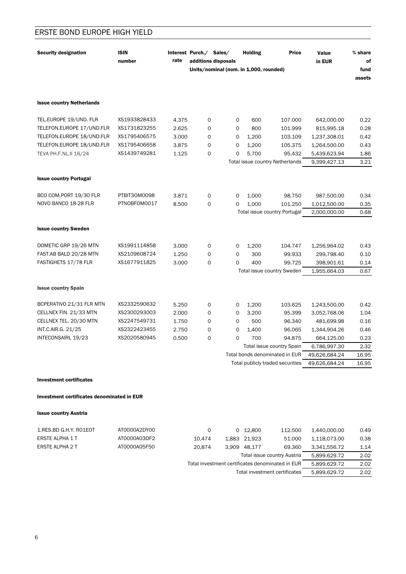| <b>Security designation</b>      | <b>ISIN</b><br>number | rate  | Interest Purch./ Sales/ | additions disposals                    | <b>Holding</b> | <b>Price</b>                     | Value<br>in EUR | $\%$ share<br>οf |
|----------------------------------|-----------------------|-------|-------------------------|----------------------------------------|----------------|----------------------------------|-----------------|------------------|
|                                  |                       |       |                         | Units/nominal (nom. in 1,000, rounded) |                |                                  |                 | fund<br>assets   |
|                                  |                       |       |                         |                                        |                |                                  |                 |                  |
| <b>Issue country Netherlands</b> |                       |       |                         |                                        |                |                                  |                 |                  |
| TEL.EUROPE 19/UND. FLR           | XS1933828433          | 4.375 | 0                       | 0                                      | 600            | 107.000                          | 642,000.00      | 0.22             |
| TELEFON.EUROPE 17/UND.FLR        | XS1731823255          | 2.625 | 0                       | 0                                      | 800            | 101.999                          | 815,995.18      | 0.28             |
| TELEFON.EUROPE 18/UND.FLR        | XS1795406575          | 3.000 | 0                       | 0                                      | 1,200          | 103.109                          | 1,237,308.01    | 0.42             |
| TELEFON.EUROPE 18/UND.FLR        | XS1795406658          | 3.875 | 0                       | 0                                      | 1,200          | 105.375                          | 1,264,500.00    | 0.43             |
| TEVA PH.F.NL.II 16/24            | XS1439749281          | 1.125 | $\Omega$                | $\Omega$                               | 5,700          | 95.432                           | 5,439,623.94    | 1.86             |
|                                  |                       |       |                         |                                        |                | Total issue country Netherlands  | 9,399,427.13    | 3.21             |
|                                  |                       |       |                         |                                        |                |                                  |                 |                  |
| <b>Issue country Portugal</b>    |                       |       |                         |                                        |                |                                  |                 |                  |
| BCO COM.PORT 19/30 FLR           | PTBIT30M0098          | 3.871 | 0                       | 0                                      | 1,000          | 98.750                           | 987,500.00      | 0.34             |
| NOVO BANCO 18-28 FLR             | PTNOBFOM0017          | 8.500 | $\mathbf 0$             | 0                                      | 1,000          | 101.250                          | 1,012,500.00    | 0.35             |
|                                  |                       |       |                         |                                        |                | Total issue country Portugal     | 2,000,000.00    | 0.68             |
|                                  |                       |       |                         |                                        |                |                                  |                 |                  |
| <b>Issue country Sweden</b>      |                       |       |                         |                                        |                |                                  |                 |                  |
| DOMETIC GRP 19/26 MTN            | XS1991114858          | 3.000 | $\mathbf 0$             | 0                                      | 1,200          | 104.747                          | 1,256,964.02    | 0.43             |
| FAST.AB BALD 20/28 MTN           | XS2109608724          | 1.250 | $\Omega$                | $\Omega$                               | 300            | 99.933                           | 299,798.40      | 0.10             |
| FASTIGHETS 17/78 FLR             | XS1677911825          | 3.000 | $\mathbf 0$             | 0                                      | 400            | 99.725                           | 398,901.61      | 0.14             |
|                                  |                       |       |                         |                                        |                | Total issue country Sweden       | 1,955,664.03    | 0.67             |
| <b>Issue country Spain</b>       |                       |       |                         |                                        |                |                                  |                 |                  |
|                                  |                       |       |                         |                                        |                |                                  |                 |                  |
| BCPERATIVO 21/31 FLR MTN         | XS2332590632          | 5.250 | 0                       | 0                                      | 1,200          | 103.625                          | 1,243,500.00    | 0.42             |
| CELLNEX FIN. 21/33 MTN           | XS2300293003          | 2.000 | 0                       | 0                                      | 3,200          | 95.399                           | 3,052,768.06    | 1.04             |
| CELLNEX TEL. 20/30 MTN           | XS2247549731          | 1.750 | 0                       | 0                                      | 500            | 96.340                           | 481,699.98      | 0.16             |
| INT.C.AIR.G. 21/25               | XS2322423455          | 2.750 | 0                       | 0                                      | 1,400          | 96.065                           | 1,344,904.26    | 0.46             |
| INTECONSAIRL 19/23               | XS2020580945          | 0.500 | 0                       | 0                                      | 700            | 94.875                           | 664,125.00      | 0.23             |
|                                  |                       |       |                         |                                        |                | Total issue country Spain        | 6,786,997.30    | 2.32             |
|                                  |                       |       |                         |                                        |                | Total bonds denominated in EUR   | 49,626,684.24   | 16.95            |
|                                  |                       |       |                         |                                        |                | Total publicly traded securities | 49,626,684.24   | 16.95            |
|                                  |                       |       |                         |                                        |                |                                  |                 |                  |

**Investment certificates** 

### Investment certificates denominated in EUR

**Issue country Austria** 

| 1.RES.BD G.H.Y. RO1EOT | AT0000A2DY00 | 0            |              | 0, 12.800                   | 112.500      | 1.440.000.00 | 0.49 |
|------------------------|--------------|--------------|--------------|-----------------------------|--------------|--------------|------|
| ERSTE ALPHA 1 T        | AT0000A03DF2 | 10.474       |              | 1.883 21.923                | 51.000       | 1.118.073.00 | 0.38 |
| ERSTE ALPHA 2 T        | AT0000A05F50 | 20.874       | 3.909        | 48.177                      | 69.360       | 3.341.556.72 | 1.14 |
|                        |              |              |              | Total issue country Austria | 5.899.629.72 | 2.02         |      |
|                        |              | 5.899.629.72 | 2.02         |                             |              |              |      |
|                        |              |              | 5.899.629.72 | 2.02                        |              |              |      |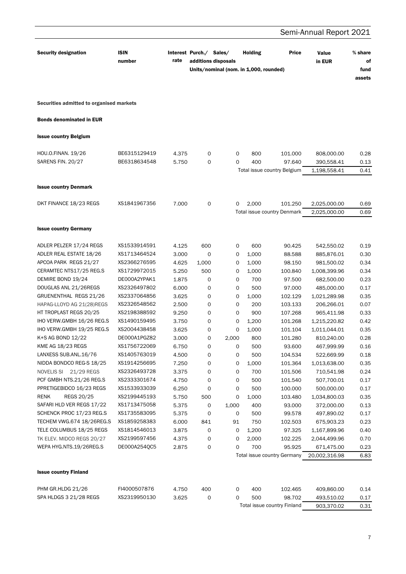### Semi-Annual Report 2021 **Security designation ISIN** Interest Purch./ Sales/ **Holding Price** Value % share rate number additions disposals in EUR of Units/nominal (nom. in 1.000, rounded) fund assets Securities admitted to organised markets **Bonds denominated in EUR Issue country Belgium** HOU.O.FINAN. 19/26 BE6315129419  $\circ$  $\circ$ 800 101.000 808.000.00  $0.28$ 4.375 SARENS FIN. 20/27 BE6318634548 5.750  $\Omega$  $\Omega$  $400$ 97.640 390,558.41  $0.13$ Total issue country Belgium 1,198,558.41  $0.41$ **Issue country Denmark** DKT FINANCE 18/23 REGS XS1841967356 7.000  $\Omega$  $\Omega$ 2,000 101.250 2,025,000.00 0.69 Total issue country Denmark 2,025,000.00 0.69 **Issue country Germany** ADLER PELZER 17/24 REGS XS1533914591  $\mathbf 0$ 4.125 600 600 90.425 542.550.02  $0.19$ ADLER REAL ESTATE 18/26 XS1713464524 3.000  $\mathbf 0$ 1,000 88.588 885,876.01  $\Omega$  $0.30$ APCOA PARK REGS 21/27 XS2366276595  $\mathsf{O}$ 4.625 1,000 1,000 98.150 981,500.02 0.34 CERAMTEC NTS17/25 REG.S XS1729972015 5.250 500  $\circ$ 1,000 100.840 1,008,399.96 0.34 DEMIRE BOND 19/24  $\circ$ DE000A2YPAK1 1.875  $\Omega$ 700 97.500 682,500.00 0.23 DOUGLAS ANL 21/26REGS XS2326497802 6.000  $\Omega$  $\Omega$ 500 97,000 485,000.00  $0.17$ GRUENENTHAL REGS 21/26 XS2337064856 3.625  $\mathbf 0$  $\Omega$ 1.000 102.129 1.021.289.98 0.35 XS2326548562  $\mathbf 0$ 200 HAPAG-LLOYD AG 21(28)REGS 2.500  $\Omega$ 103.133 206.266.01  $0.07$ HT TROPLAST REGS 20/25 **XS2198388592** 900 9.250  $\Omega$  $\Omega$ 107.268 965,411.98  $0.33$ IHO VERW.GMBH 16/26 REG.S XS1490159495 3.750  $\mathbf 0$  $\mathbf 0$ 1.200 101.268 1,215,220.82  $0.42$ IHO VERW.GMBH 19/25 REG.S XS2004438458  $\Omega$  $\Omega$ 1,000 3.625 101.104 1.011.044.01  $0.35$ K+S AG BOND 12/22 DE000A1PGZ82 3.000  $\mathbf 0$ 2,000 800 101.280 810,240.00 0.28 KME AG 18/23 REGS XS1756722069  $\mathbf 0$  $\circ$ 500 467,999.99 6.750 93,600  $0.16$ LANXESS SUB.ANL.16/76 XS1405763019  $\Omega$ 500 522,669.99 4.500  $\Omega$ 104.534  $0.18$ NIDDA BONDCO REG-S 18/25 XS1914256695 7.250  $\Omega$  $\Omega$ 1,000 101.364 1,013,638.00  $0.35$ NOVELIS SI 21/29 REGS XS2326493728 710,541.98  $\Omega$  $\Omega$ 700 101.506  $0.24$ 3.375 PCF GMBH NTS.21/26 REG.S XS2333301674 4.750  $\Omega$  $\Omega$ 500 101.540 507,700.01  $0.17$ PPRETIGEBIDCO 16/23 REGS XS1533933039 6.250  $\mathbf 0$  $\mathbf 0$ 500 100.000 500,000.00  $0.17$ REGS 20/25 XS2199445193 **RFNK** 500 1,000 5.750  $\circ$ 103.480 1,034,800.03 0.35 SAFARI HLD VER REGS 17/22 XS1713475058 1,000 400 372,000.00 5.375  $\mathbf 0$ 93.000  $0.13$ SCHENCK PROC 17/23 REG.S XS1735583095 5.375  $\mathbf 0$  $\circ$ 500 99.578 497,890.02  $0.17$ TECHEM VWG.674 18/26REG.S XS1859258383 91 750 102.503 675,903.23  $0.23$ 6.000 841 TELE COLUMBUS 18/25 REGS XS1814546013 3.875  $\Omega$  $\Omega$  $1,200$ 97.325 1,167,899.96 0.40 XS2199597456 2.000 TK ELEV. MIDCO REGS 20/27 4.375  $\Omega$  $\Omega$ 102.225 2,044,499.96  $0.70$ WEPA HYG.NTS.19/26REG.S DE000A254QC5 2.875  $\mathsf{O}$  $\mathsf{O}$ 700 95.925 671,475.00  $0.23$ Total issue country Germany 20,002,316.98 6.83 **Issue country Finland** PHM GR.HLDG 21/26 FI4000507876 4.750 400  $\mathbf 0$ 400 102.465 409,860.00  $0.14$ SPA HLDGS 3 21/28 REGS XS2319950130 3.625  $\Omega$  $\Omega$ 500 98.702 493,510.02  $0.17$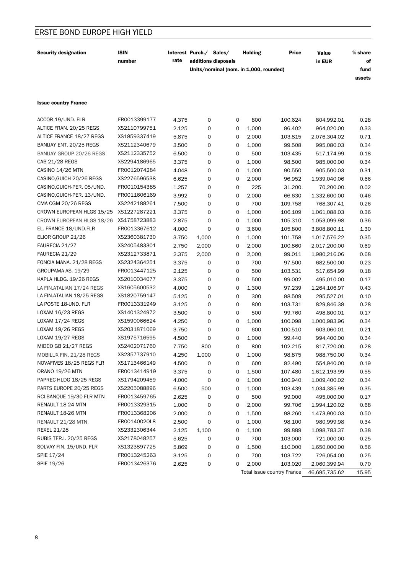| <b>Security designation</b> | <b>ISIN</b><br>number | rate  | Interest Purch./ Sales/ | additions disposals                    |   | <b>Holding</b> | Price                      | Value<br>in EUR | % share<br>оf  |
|-----------------------------|-----------------------|-------|-------------------------|----------------------------------------|---|----------------|----------------------------|-----------------|----------------|
|                             |                       |       |                         | Units/nominal (nom. in 1,000, rounded) |   |                |                            |                 | fund<br>assets |
|                             |                       |       |                         |                                        |   |                |                            |                 |                |
| <b>Issue country France</b> |                       |       |                         |                                        |   |                |                            |                 |                |
| ACCOR 19/UND. FLR           | FR0013399177          | 4.375 | 0                       |                                        | 0 | 800            | 100.624                    | 804,992.01      | 0.28           |
| ALTICE FRAN. 20/25 REGS     | XS2110799751          | 2.125 | 0                       |                                        | 0 | 1,000          | 96.402                     | 964,020.00      | 0.33           |
| ALTICE FRANCE 18/27 REGS    | XS1859337419          | 5.875 | 0                       |                                        | 0 | 2,000          | 103.815                    | 2,076,304.02    | 0.71           |
| BANIJAY ENT. 20/25 REGS     | XS2112340679          | 3.500 | 0                       |                                        | 0 | 1,000          | 99.508                     | 995,080.03      | 0.34           |
| BANIJAY GROUP 20/26 REGS    | XS2112335752          | 6.500 | 0                       |                                        | 0 | 500            | 103.435                    | 517,174.99      | 0.18           |
| CAB 21/28 REGS              | XS2294186965          | 3.375 | 0                       |                                        | 0 | 1,000          | 98.500                     | 985,000.00      | 0.34           |
| CASINO 14/26 MTN            | FR0012074284          | 4.048 | 0                       |                                        | 0 | 1,000          | 90.550                     | 905,500.03      | 0.31           |
| CASINO, GUICH 20/26 REGS    | XS2276596538          | 6.625 | 0                       |                                        | 0 | 2,000          | 96.952                     | 1,939,040.06    | 0.66           |
| CASINO, GUICH-PER. 05/UND.  | FR0010154385          | 1.257 | 0                       |                                        | 0 | 225            | 31.200                     | 70,200.00       | 0.02           |
| CASINO, GUICH-PER. 13/UND.  | FR0011606169          | 3.992 | 0                       |                                        | 0 | 2,000          | 66.630                     | 1,332,600.00    | 0.46           |
| CMA CGM 20/26 REGS          | XS2242188261          | 7.500 | 0                       |                                        | 0 | 700            | 109.758                    | 768,307.41      | 0.26           |
| CROWN EUROPEAN HLGS 15/25   | XS1227287221          | 3.375 | 0                       |                                        | 0 | 1,000          | 106.109                    | 1,061,088.03    | 0.36           |
| CROWN EUROPEAN HLGS 18/26   | XS1758723883          | 2.875 | 0                       |                                        | 0 | 1,000          | 105.310                    | 1,053,099.98    | 0.36           |
| EL. FRANCE 18/UND.FLR       | FR0013367612          | 4.000 | 0                       |                                        | 0 | 3,600          | 105.800                    | 3,808,800.11    | 1.30           |
| ELIOR GROUP 21/26           | XS2360381730          | 3.750 | 1,000                   |                                        | 0 | 1,000          | 101.758                    | 1,017,576.22    | 0.35           |
| FAURECIA 21/27              | XS2405483301          | 2.750 | 2,000                   |                                        | 0 | 2,000          | 100.860                    | 2,017,200.00    | 0.69           |
| FAURECIA 21/29              | XS2312733871          | 2.375 | 2,000                   |                                        | 0 | 2,000          | 99.011                     | 1,980,216.06    | 0.68           |
| FONCIA MANA. 21/28 REGS     | XS2324364251          | 3.375 | 0                       |                                        | 0 | 700            | 97.500                     | 682,500.00      | 0.23           |
| GROUPAMA AS. 19/29          | FR0013447125          | 2.125 | 0                       |                                        | 0 | 500            | 103.531                    | 517,654.99      | 0.18           |
| KAPLA HLDG. 19/26 REGS      | XS2010034077          | 3.375 | 0                       |                                        | 0 | 500            | 99.002                     | 495,010.00      | 0.17           |
| LA FIN.ATALIAN 17/24 REGS   | XS1605600532          | 4.000 | 0                       |                                        | 0 | 1,300          | 97.239                     | 1,264,106.97    | 0.43           |
| LA FIN.ATALIAN 18/25 REGS   | XS1820759147          | 5.125 | 0                       |                                        | 0 | 300            | 98.509                     | 295,527.01      | 0.10           |
| LA POSTE 18-UND. FLR        | FR0013331949          | 3.125 | 0                       |                                        | 0 | 800            | 103.731                    | 829,846.38      | 0.28           |
| LOXAM 16/23 REGS            | XS1401324972          | 3.500 | 0                       |                                        | 0 | 500            | 99.760                     | 498,800.01      | 0.17           |
| LOXAM 17/24 REGS            | XS1590066624          | 4.250 | 0                       |                                        | 0 | 1,000          | 100.098                    | 1,000,983.96    | 0.34           |
| LOXAM 19/26 REGS            | XS2031871069          | 3.750 | 0                       |                                        | 0 | 600            | 100.510                    | 603,060.01      | 0.21           |
| LOXAM 19/27 REGS            | XS1975716595          | 4.500 | 0                       |                                        | 0 | 1,000          | 99.440                     | 994,400.00      | 0.34           |
| MIDCO GB 21/27 REGS         | XS2402071760          | 7.750 | 800                     |                                        | 0 | 800            | 102.215                    | 817,720.00      | 0.28           |
| MOBILUX FIN. 21/28 REGS     | XS2357737910          | 4.250 | 1,000                   |                                        | 0 | 1,000          | 98.875                     | 988,750.00      | 0.34           |
| NOVAFIVES 18/25 REGS FLR    | XS1713466149          | 4.500 | 0                       |                                        | 0 | 600            | 92.490                     | 554,940.00      | 0.19           |
| ORANO 19/26 MTN             | FR0013414919          | 3.375 | 0                       |                                        | 0 | 1,500          | 107.480                    | 1,612,193.99    | 0.55           |
| PAPREC HLDG 18/25 REGS      | XS1794209459          | 4.000 | 0                       |                                        | 0 | 1,000          | 100.940                    | 1,009,400.02    | 0.34           |
| PARTS EUROPE 20/25 REGS     | XS2205088896          | 6.500 | 500                     |                                        | 0 | 1,000          | 103.439                    | 1,034,385.99    | 0.35           |
| RCI BANQUE 19/30 FLR MTN    | FR0013459765          | 2.625 | 0                       |                                        | 0 | 500            | 99.000                     | 495,000.00      | 0.17           |
| RENAULT 18-24 MTN           | FR0013329315          | 1.000 | 0                       |                                        | 0 | 2,000          | 99.706                     | 1,994,120.02    | 0.68           |
| RENAULT 18-26 MTN           | FR0013368206          | 2.000 | 0                       |                                        | 0 | 1,500          | 98.260                     | 1,473,900.03    | 0.50           |
| RENAULT 21/28 MTN           | FR00140020L8          | 2.500 | 0                       |                                        | 0 | 1,000          | 98.100                     | 980,999.98      | 0.34           |
| <b>REXEL 21/28</b>          | XS2332306344          | 2.125 | 1,100                   |                                        |   |                | 99.889                     | 1,098,783.37    | 0.38           |
| RUBIS TER.I. 20/25 REGS     | XS2178048257          | 5.625 | 0                       |                                        | 0 | 1,100<br>700   | 103.000                    | 721,000.00      | 0.25           |
| SOLVAY FIN. 15/UND. FLR     | XS1323897725          |       |                         |                                        | 0 |                |                            |                 |                |
| SPIE 17/24                  | FR0013245263          | 5.869 | 0                       |                                        | 0 | 1,500<br>700   | 110.000                    | 1,650,000.00    | 0.56           |
| SPIE 19/26                  | FR0013426376          | 3.125 | 0                       |                                        | 0 |                | 103.722                    | 726,054.00      | 0.25           |
|                             |                       | 2.625 | 0                       |                                        | 0 | 2,000          | 103.020                    | 2,060,399.94    | 0.70           |
|                             |                       |       |                         |                                        |   |                | Total issue country France | 46,695,735.62   | 15.95          |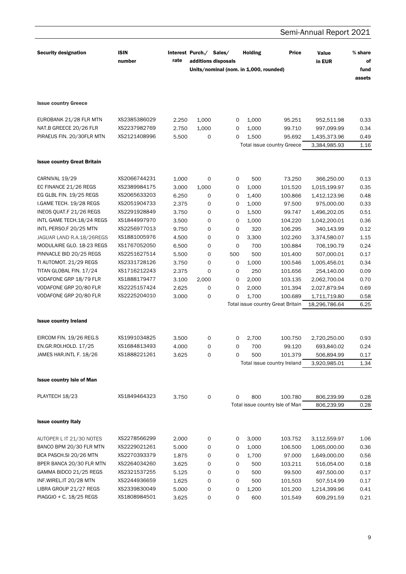|                                    |                       |       |                         |                                                               |                |                                   | Semi-Annual Report 2021 |                                   |
|------------------------------------|-----------------------|-------|-------------------------|---------------------------------------------------------------|----------------|-----------------------------------|-------------------------|-----------------------------------|
| <b>Security designation</b>        | <b>ISIN</b><br>number | rate  | Interest Purch./ Sales/ | additions disposals<br>Units/nominal (nom. in 1,000, rounded) | <b>Holding</b> | <b>Price</b>                      | Value<br>in EUR         | $%$ share<br>of<br>fund<br>assets |
| <b>Issue country Greece</b>        |                       |       |                         |                                                               |                |                                   |                         |                                   |
| EUROBANK 21/28 FLR MTN             | XS2385386029          | 2.250 | 1,000                   | 0                                                             | 1,000          | 95.251                            | 952,511.98              | 0.33                              |
| NAT.B GREECE 20/26 FLR             | XS2237982769          | 2.750 | 1,000                   | 0                                                             | 1,000          | 99.710                            | 997,099.99              | 0.34                              |
| PIRAEUS FIN. 20/30FLR MTN          | XS2121408996          | 5.500 | 0                       | 0                                                             | 1,500          | 95.692                            | 1,435,373.96            | 0.49                              |
|                                    |                       |       |                         |                                                               |                | <b>Total issue country Greece</b> | 3,384,985.93            | 1.16                              |
| <b>Issue country Great Britain</b> |                       |       |                         |                                                               |                |                                   |                         |                                   |
| CARNIVAL 19/29                     | XS2066744231          | 1.000 | O                       | 0                                                             | 500            | 73.250                            | 366,250.00              | 0.13                              |
| EC FINANCE 21/26 REGS              | XS2389984175          | 3.000 | 1,000                   | 0                                                             | 1,000          | 101.520                           | 1,015,199.97            | 0.35                              |
| EG GLBL FIN. 19/25 REGS            | XS2065633203          | 6.250 | 0                       | 0                                                             | 1,400          | 100.866                           | 1,412,123.96            | 0.48                              |
| I.GAME TECH. 19/28 REGS            | XS2051904733          | 2.375 | 0                       | 0                                                             | 1,000          | 97.500                            | 975,000.00              | 0.33                              |
| INEOS QUAT.F 21/26 REGS            | XS2291928849          | 3.750 | 0                       | 0                                                             | 1,500          | 99.747                            | 1,496,202.05            | 0.51                              |
| INTL GAME TECH.18/24 REGS          | XS1844997970          | 3.500 | 0                       | 0                                                             | 1,000          | 104.220                           | 1,042,200.01            | 0.36                              |
| INTL PERSO.F 20/25 MTN             | XS2256977013          | 9.750 | 0                       | 0                                                             | 320            | 106.295                           | 340,143.99              | 0.12                              |
| JAGUAR LAND R.A.18/26REGS          | XS1881005976          | 4.500 | 0                       | 0                                                             | 3,300          | 102.260                           | 3,374,580.07            | 1.15                              |
| MODULAIRE GLO. 18-23 REGS          | XS1767052050          | 6.500 | 0                       | 0                                                             | 700            | 100.884                           | 706,190.79              | 0.24                              |
| PINNACLE BID 20/25 REGS            | XS2251627514          | 5.500 | 0                       | 500                                                           | 500            | 101.400                           | 507,000.01              | 0.17                              |
| TI AUTOMOT. 21/29 REGS             | XS2331728126          | 3.750 | 0                       | 0                                                             | 1,000          | 100.546                           | 1,005,456.01            | 0.34                              |
| TITAN GLOBAL FIN. 17/24            | XS1716212243          | 2.375 | $\mathbf 0$             | 0                                                             | 250            | 101.656                           | 254,140.00              | 0.09                              |
| VODAFONE GRP 18/79 FLR             | XS1888179477          | 3.100 | 2,000                   | 0                                                             | 2,000          | 103.135                           | 2,062,700.04            | 0.70                              |
| VODAFONE GRP 20/80 FLR             | XS2225157424          | 2.625 | 0                       | 0                                                             | 2,000          | 101.394                           | 2,027,879.94            | 0.69                              |
| VODAFONE GRP 20/80 FLR             | XS2225204010          | 3.000 | 0                       | 0                                                             | 1,700          | 100.689                           | 1,711,719.80            | 0.58                              |
|                                    |                       |       |                         |                                                               |                | Total issue country Great Britain | 18,296,786.64           | 6.25                              |
| <b>Issue country Ireland</b>       |                       |       |                         |                                                               |                |                                   |                         |                                   |
| EIRCOM FIN. 19/26 REG.S            | XS1991034825          | 3.500 | 0                       | 0                                                             | 2,700          | 100.750                           | 2,720,250.00            | 0.93                              |
| EN.GR.ROI.HOLD. 17/25              | XS1684813493          | 4.000 | 0                       | 0                                                             | 700            | 99.120                            | 693,840.02              | 0.24                              |
| JAMES HAR.INTL F. 18/26            | XS1888221261          | 3.625 | 0                       | 0                                                             | 500            | 101.379                           | 506,894.99              | 0.17                              |
|                                    |                       |       |                         |                                                               |                | Total issue country Ireland       | 3,920,985.01            | 1.34                              |
| <b>Issue country Isle of Man</b>   |                       |       |                         |                                                               |                |                                   |                         |                                   |
| PLAYTECH 18/23                     | XS1849464323          | 3.750 | $\mathsf{O}\xspace$     | 0                                                             | 800            | 100.780                           | 806,239.99              | 0.28                              |
|                                    |                       |       |                         |                                                               |                | Total issue country Isle of Man   | 806,239.99              | 0.28                              |
| <b>Issue country Italy</b>         |                       |       |                         |                                                               |                |                                   |                         |                                   |
| AUTOPER L IT 21/30 NOTES           | XS2278566299          | 2.000 | 0                       | 0                                                             | 3,000          | 103.752                           | 3,112,559.97            | 1.06                              |
| BANCO BPM 20/30 FLR MTN            | XS2229021261          | 5.000 | 0                       | 0                                                             | 1,000          | 106.500                           | 1,065,000.00            | 0.36                              |
| BCA PASCH.SI 20/26 MTN             | XS2270393379          | 1.875 | 0                       | 0                                                             | 1,700          | 97.000                            | 1,649,000.00            | 0.56                              |
| BPER BANCA 20/30 FLR MTN           | XS2264034260          | 3.625 | 0                       | 0                                                             | 500            | 103.211                           | 516,054.00              | 0.18                              |
| GAMMA BIDCO 21/25 REGS             | XS2321537255          | 5.125 | 0                       | 0                                                             | 500            | 99.500                            | 497,500.00              | 0.17                              |
| INF.WIREL.IT 20/28 MTN             | XS2244936659          | 1.625 | 0                       | 0                                                             | 500            | 101.503                           | 507,514.99              | 0.17                              |
| LIBRA GROUP 21/27 REGS             | XS2339830049          | 5.000 | 0                       | 0                                                             | 1,200          | 101.200                           | 1,214,399.96            | 0.41                              |
| PIAGGIO + C. 18/25 REGS            | XS1808984501          | 3.625 | $\Omega$                | $\Omega$                                                      | 600            | 101.549                           | 609.291.59              | 0.21                              |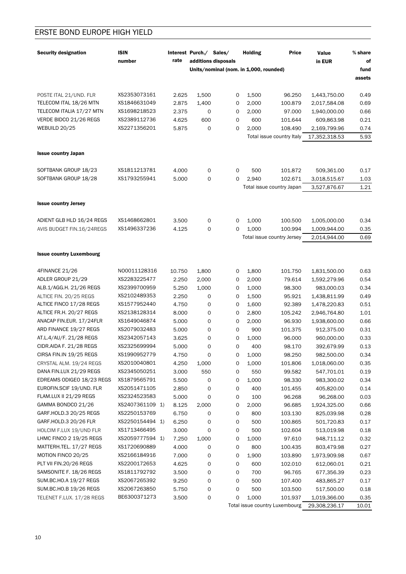| <b>Security designation</b>     | <b>ISIN</b><br>number | rate           | Interest Purch./ Sales/ | additions disposals                    | <b>Holding</b> | <b>Price</b>                         | Value<br>in EUR | $\%$ share<br>of |
|---------------------------------|-----------------------|----------------|-------------------------|----------------------------------------|----------------|--------------------------------------|-----------------|------------------|
|                                 |                       |                |                         | Units/nominal (nom. in 1,000, rounded) |                |                                      |                 | fund             |
|                                 |                       |                |                         |                                        |                |                                      |                 | assets           |
| POSTE ITAL 21/UND. FLR          | XS2353073161          |                |                         |                                        | 1,500          | 96.250                               |                 |                  |
| TELECOM ITAL 18/26 MTN          | XS1846631049          | 2.625          | 1,500                   | 0                                      |                |                                      | 1,443,750.00    | 0.49             |
| TELECOM ITALIA 17/27 MTN        | XS1698218523          | 2.875          | 1,400                   | 0                                      | 2,000          | 100.879                              | 2,017,584.08    | 0.69             |
| VERDE BIDCO 21/26 REGS          | XS2389112736          | 2.375<br>4.625 | 0<br>600                | 0                                      | 2,000<br>600   | 97.000<br>101.644                    | 1,940,000.00    | 0.66<br>0.21     |
| WEBUILD 20/25                   | XS2271356201          |                |                         | 0<br>0                                 |                |                                      | 609,863.98      |                  |
|                                 |                       | 5.875          | 0                       |                                        | 2,000          | 108.490<br>Total issue country Italy | 2,169,799.96    | 0.74<br>5.93     |
|                                 |                       |                |                         |                                        |                |                                      | 17,352,318.53   |                  |
| <b>Issue country Japan</b>      |                       |                |                         |                                        |                |                                      |                 |                  |
| SOFTBANK GROUP 18/23            | XS1811213781          | 4.000          | 0                       | $\mathbf 0$                            | 500            | 101.872                              | 509,361.00      | 0.17             |
| SOFTBANK GROUP 18/28            | XS1793255941          | 5.000          | 0                       | 0                                      | 2,940          | 102.671                              | 3,018,515.67    | 1.03             |
|                                 |                       |                |                         |                                        |                | Total issue country Japan            | 3,527,876.67    | 1.21             |
|                                 |                       |                |                         |                                        |                |                                      |                 |                  |
| <b>Issue country Jersey</b>     |                       |                |                         |                                        |                |                                      |                 |                  |
| ADIENT GLB HLD 16/24 REGS       | XS1468662801          | 3.500          | 0                       | 0                                      | 1,000          | 100.500                              | 1,005,000.00    | 0.34             |
| AVIS BUDGET FIN.16/24REGS       | XS1496337236          | 4.125          | 0                       | 0                                      | 1,000          | 100.994                              | 1,009,944.00    | 0.35             |
|                                 |                       |                |                         |                                        |                | Total issue country Jersey           | 2,014,944.00    | 0.69             |
|                                 |                       |                |                         |                                        |                |                                      |                 |                  |
| <b>Issue country Luxembourg</b> |                       |                |                         |                                        |                |                                      |                 |                  |
| 4FINANCE 21/26                  | N00011128316          | 10.750         | 1,800                   | 0                                      | 1,800          | 101.750                              | 1,831,500.00    | 0.63             |
| ADLER GROUP 21/29               | XS2283225477          | 2.250          | 2,000                   | 0                                      | 2,000          | 79.614                               | 1,592,279.96    | 0.54             |
| ALB.1/AGG.H. 21/26 REGS         | XS2399700959          | 5.250          | 1,000                   | 0                                      | 1,000          | 98.300                               | 983,000.03      | 0.34             |
| ALTICE FIN. 20/25 REGS          | XS2102489353          | 2.250          | 0                       | 0                                      | 1,500          | 95.921                               | 1,438,811.99    | 0.49             |
| ALTICE FINCO 17/28 REGS         | XS1577952440          | 4.750          | 0                       | 0                                      | 1,600          | 92.389                               | 1,478,220.83    | 0.51             |
| ALTICE FR.H. 20/27 REGS         | XS2138128314          | 8.000          | 0                       | 0                                      | 2,800          | 105.242                              | 2,946,764.80    | 1.01             |
| ANACAP FIN.EUR. 17/24FLR        | XS1649046874          | 5.000          | 0                       | 0                                      | 2,000          | 96.930                               | 1,938,600.00    | 0.66             |
| ARD FINANCE 19/27 REGS          | XS2079032483          | 5.000          | 0                       | 0                                      | 900            | 101.375                              | 912,375.00      | 0.31             |
| AT.L.4/AU/F. 21/28 REGS         | XS2342057143          | 3.625          | 0                       | 0                                      | 1,000          | 96.000                               | 960,000.00      | 0.33             |
| CIDR.AIDA F. 21/28 REGS         | XS2325699994          | 5.000          | 0                       | 0                                      | 400            | 98.170                               | 392,679.99      | 0.13             |
| CIRSA FIN.IN 19/25 REGS         | XS1990952779          | 4.750          | 0                       | 0                                      | 1,000          | 98.250                               | 982,500.00      | 0.34             |
| CRYSTAL ALM. 19/24 REGS         | XS2010040801          | 4.250          | 1,000                   | 0                                      | 1,000          | 101.806                              | 1,018,060.00    | 0.35             |
| DANA FIN.LUX 21/29 REGS         | XS2345050251          | 3.000          | 550                     | 0                                      | 550            | 99.582                               | 547,701.01      | 0.19             |
| EDREAMS ODIGEO 18/23 REGS       | XS1879565791          | 5.500          | 0                       | 0                                      | 1,000          | 98.330                               | 983,300.02      | 0.34             |
| EUROFIN.SCIF 19/UND. FLR        | XS2051471105          | 2.850          | 0                       | 0                                      | 400            | 101.455                              | 405,820.00      | 0.14             |
| FLAM.LUX II 21/29 REGS          | XS2324523583          | 5.000          | 0                       | 0                                      | 100            | 96.268                               | 96,268.00       | 0.03             |
| GAMMA BONDCO 21/26              | XS2407361109 1)       | 8.125          | 2,000                   | 0                                      | 2,000          | 96.685                               | 1,924,325.00    | 0.66             |
| GARF.HOLD.3 20/25 REGS          | XS2250153769          | 6.750          | 0                       | 0                                      | 800            | 103.130                              | 825,039.98      | 0.28             |
| GARF.HOLD.3 20/26 FLR           | XS2250154494 1)       | 6.250          | 0                       | 0                                      | 500            | 100.865                              | 501,720.83      | 0.17             |
| HOLCIM F.LUX 19/UND FLR         | XS1713466495          | 3.000          | 0                       | 0                                      | 500            | 102.604                              | 513,019.98      | 0.18             |
| LHMC FINCO 2 19/25 REGS         | XS2059777594 1)       | 7.250          | 1,000                   | 0                                      | 1,000          | 97.610                               | 948,711.12      | 0.32             |
| MATTERH.TEL. 17/27 REGS         | XS1720690889          | 4.000          | 0                       | 0                                      | 800            | 100.435                              | 803,479.98      | 0.27             |
| MOTION FINCO 20/25              | XS2166184916          | 7.000          | 0                       | 0                                      | 1,900          | 103.890                              | 1,973,909.98    | 0.67             |
| PLT VII FIN.20/26 REGS          | XS2200172653          | 4.625          | 0                       | 0                                      | 600            | 102.010                              | 612,060.01      | 0.21             |
| SAMSONITE F. 18/26 REGS         | XS1811792792          | 3.500          | 0                       | 0                                      | 700            | 96.765                               | 677,356.39      | 0.23             |
| SUM.BC.HO.A 19/27 REGS          | XS2067265392          | 9.250          | 0                       | 0                                      | 500            | 107.400                              | 483,865.27      | 0.17             |
| SUM.BC.HO.B 19/26 REGS          | XS2067263850          | 5.750          | 0                       | 0                                      | 500            | 103.500                              | 517,500.00      | 0.18             |
| TELENET F.LUX. 17/28 REGS       | BE6300371273          | 3.500          | 0                       | 0                                      | 1,000          | 101.937                              | 1,019,366.00    | 0.35             |

Total issue country Luxembourg 29,308,236.17 10.01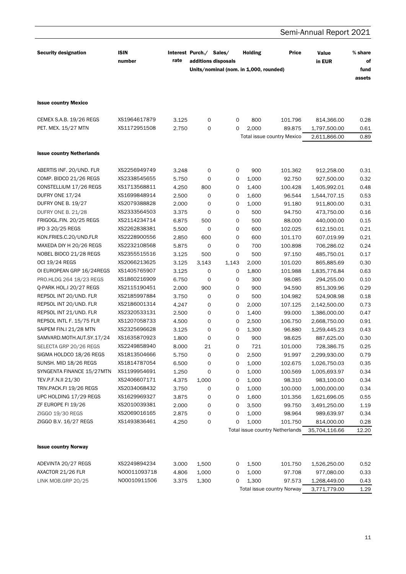|                                  |                       |       |                         |                                                               |                |                                   | Semi-Annual Report 2021 |                                 |  |
|----------------------------------|-----------------------|-------|-------------------------|---------------------------------------------------------------|----------------|-----------------------------------|-------------------------|---------------------------------|--|
| <b>Security designation</b>      | <b>ISIN</b><br>number | rate  | Interest Purch./ Sales/ | additions disposals<br>Units/nominal (nom. in 1,000, rounded) | <b>Holding</b> | <b>Price</b>                      | Value<br>in EUR         | % share<br>of<br>fund<br>assets |  |
| <b>Issue country Mexico</b>      |                       |       |                         |                                                               |                |                                   |                         |                                 |  |
| CEMEX S.A.B. 19/26 REGS          | XS1964617879          | 3.125 | 0                       | $\mathbf 0$                                                   | 800            | 101.796                           | 814,366.00              | 0.28                            |  |
| PET. MEX. 15/27 MTN              | XS1172951508          | 2.750 | 0                       | 0                                                             | 2,000          | 89.875                            | 1,797,500.00            | 0.61                            |  |
|                                  |                       |       |                         |                                                               |                | <b>Total issue country Mexico</b> | 2,611,866.00            | 0.89                            |  |
| <b>Issue country Netherlands</b> |                       |       |                         |                                                               |                |                                   |                         |                                 |  |
| ABERTIS INF. 20/UND. FLR         | XS2256949749          | 3.248 | 0                       | 0                                                             | 900            | 101.362                           | 912,258.00              | 0.31                            |  |
| COMP. BIDCO 21/26 REGS           | XS2338545655          | 5.750 | 0                       | 0                                                             | 1,000          | 92.750                            | 927,500.00              | 0.32                            |  |
| CONSTELLIUM 17/26 REGS           | XS1713568811          | 4.250 | 800                     | 0                                                             | 1,400          | 100.428                           | 1,405,992.01            | 0.48                            |  |
| DUFRY ONE 17/24                  | XS1699848914          | 2.500 | 0                       | 0                                                             | 1,600          | 96.544                            | 1,544,707.15            | 0.53                            |  |
| DUFRY ONE B. 19/27               | XS2079388828          | 2.000 | 0                       | 0                                                             | 1,000          | 91.180                            | 911,800.00              | 0.31                            |  |
| DUFRY ONE B. 21/28               | XS2333564503          | 3.375 | 0                       | 0                                                             | 500            | 94.750                            | 473,750.00              | 0.16                            |  |
| FRIGOGL.FIN. 20/25 REGS          | XS2114234714          | 6.875 | 500                     | 0                                                             | 500            | 88.000                            | 440,000.00              | 0.15                            |  |
| IPD 3 20/25 REGS                 | XS2262838381          | 5.500 | $\mathbf 0$             | 0                                                             | 600            | 102.025                           | 612,150.01              | 0.21                            |  |
| KON.FRIES.C.20/UND.FLR           | XS2228900556          | 2.850 | 600                     | 0                                                             | 600            | 101.170                           | 607,019.99              | 0.21                            |  |
| MAXEDA DIY H 20/26 REGS          | XS2232108568          | 5.875 | 0                       | 0                                                             | 700            | 100.898                           | 706,286.02              | 0.24                            |  |
| NOBEL BIDCO 21/28 REGS           | XS2355515516          | 3.125 | 500                     | 0                                                             | 500            | 97.150                            | 485,750.01              | 0.17                            |  |
| <b>OCI 19/24 REGS</b>            | XS2066213625          | 3.125 | 3,143                   | 1,143                                                         | 2,000          | 101.020                           | 865,885.69              | 0.30                            |  |
| OI EUROPEAN GRP 16/24REGS        | XS1405765907          | 3.125 | 0                       | 0                                                             | 1,800          | 101.988                           | 1,835,776.84            | 0.63                            |  |
| PRO.HLDG 264 18/23 REGS          | XS1860216909          | 6.750 | 0                       | 0                                                             | 300            | 98.085                            | 294,255.00              | 0.10                            |  |
| Q-PARK HOL.I 20/27 REGS          | XS2115190451          | 2.000 | 900                     | 0                                                             | 900            | 94.590                            | 851,309.96              | 0.29                            |  |
| REPSOL INT 20/UND. FLR           | XS2185997884          | 3.750 | 0                       | 0                                                             | 500            | 104.982                           | 524,908.98              | 0.18                            |  |
| REPSOL INT 20/UND. FLR           | XS2186001314          | 4.247 | 0                       | 0                                                             | 2,000          | 107.125                           | 2,142,500.00            | 0.73                            |  |
| REPSOL INT 21/UND. FLR           | XS2320533131          | 2.500 | 0                       | 0                                                             | 1,400          | 99.000                            | 1,386,000.00            | 0.47                            |  |
| REPSOL INTL F. 15/75 FLR         | XS1207058733          | 4.500 | 0                       | 0                                                             | 2,500          | 106.750                           | 2,668,750.00            | 0.91                            |  |
| SAIPEM FIN.I 21/28 MTN           | XS2325696628          | 3.125 | 0                       | 0                                                             | 1,300          | 96.880                            | 1,259,445.23            | 0.43                            |  |
| SAMVARD.MOTH.AUT.SY.17/24        | XS1635870923          | 1.800 | 0                       | 0                                                             | 900            | 98.625                            | 887,625.00              | 0.30                            |  |
| SELECTA GRP 20/26 REGS           | XS2249858940          | 8.000 | 21                      | 0                                                             | 721            | 101.000                           | 728,386.75              | 0.25                            |  |
| SIGMA HOLDCO 18/26 REGS          | XS1813504666          | 5.750 | 0                       | 0                                                             | 2,500          | 91.997                            | 2,299,930.00            | 0.79                            |  |
| SUNSH. MID 18/26 REGS            | XS1814787054          | 6.500 | 0                       | 0                                                             | 1,000          | 102.675                           | 1,026,750.03            | 0.35                            |  |
| SYNGENTA FINANCE 15/27MTN        | XS1199954691          | 1.250 | 0                       | 0                                                             | 1,000          | 100.569                           | 1,005,693.97            | 0.34                            |  |
| TEV.P.F.N.II 21/30               | XS2406607171          | 4.375 | 1,000                   | 0                                                             | 1,000          | 98.310                            | 983,100.00              | 0.34                            |  |
| TRIV.PACK.FI 19/26 REGS          | XS2034068432          | 3.750 | 0                       | 0                                                             | 1,000          | 100.000                           | 1,000,000.00            | 0.34                            |  |
| UPC HOLDING 17/29 REGS           | XS1629969327          | 3.875 | 0                       | 0                                                             | 1,600          | 101.356                           | 1,621,696.05            | 0.55                            |  |
| ZF EUROPE FI 19/26               | XS2010039381          | 2.000 | 0                       | 0                                                             | 3,500          | 99.750                            | 3,491,250.00            | 1.19                            |  |
| ZIGGO 19/30 REGS                 | XS2069016165          | 2.875 | 0                       | 0                                                             | 1,000          | 98.964                            | 989,639.97              | 0.34                            |  |
| ZIGGO B.V. 16/27 REGS            | XS1493836461          | 4.250 | 0                       | 0                                                             | 1,000          | 101.750                           | 814,000.00              | 0.28                            |  |
|                                  |                       |       |                         |                                                               |                | Total issue country Netherlands   | 35,704,116.66           | 12.20                           |  |
|                                  |                       |       |                         |                                                               |                |                                   |                         |                                 |  |
| <b>Issue country Norway</b>      |                       |       |                         |                                                               |                |                                   |                         |                                 |  |
| ADEVINTA 20/27 REGS              | XS2249894234          | 3.000 | 1,500                   | 0                                                             | 1,500          | 101.750                           | 1,526,250.00            | 0.52                            |  |
| AXACTOR 21/26 FLR                | N00011093718          | 4.806 | 1,000                   | 0                                                             | 1,000          | 97.708                            | 977,080.00              | 0.33                            |  |
| LINK MOB.GRP 20/25               | N00010911506          | 3.375 | 1,300                   | 0                                                             | 1,300          | 97.573                            | 1,268,449.00            | 0.43                            |  |
|                                  |                       |       |                         |                                                               |                | Total issue country Norway        | 3,771,779.00            | 1.29                            |  |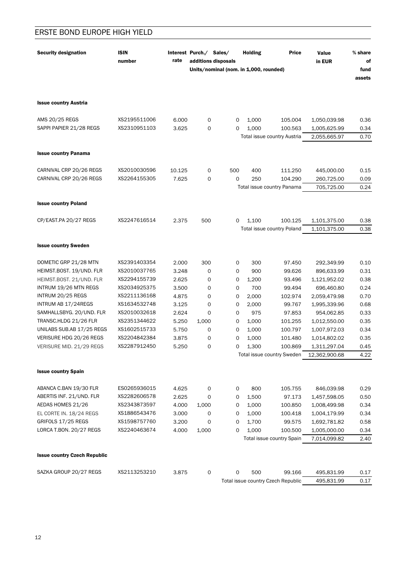| <b>Security designation</b>         | <b>ISIN</b><br>number | rate   | Interest Purch./ Sales/<br>additions disposals |     | <b>Holding</b><br>Units/nominal (nom. in 1,000, rounded) | <b>Price</b>                       | Value<br>in EUR | % share<br>of<br>fund<br>assets |
|-------------------------------------|-----------------------|--------|------------------------------------------------|-----|----------------------------------------------------------|------------------------------------|-----------------|---------------------------------|
| <b>Issue country Austria</b>        |                       |        |                                                |     |                                                          |                                    |                 |                                 |
| AMS 20/25 REGS                      | XS2195511006          | 6.000  | 0                                              | 0   | 1,000                                                    | 105.004                            | 1,050,039.98    | 0.36                            |
| SAPPI PAPIER 21/28 REGS             | XS2310951103          | 3.625  | 0                                              | 0   | 1,000                                                    | 100.563                            | 1,005,625.99    | 0.34                            |
|                                     |                       |        |                                                |     |                                                          | Total issue country Austria        | 2,055,665.97    | 0.70                            |
| <b>Issue country Panama</b>         |                       |        |                                                |     |                                                          |                                    |                 |                                 |
| CARNIVAL CRP 20/26 REGS             | XS2010030596          | 10.125 | 0                                              | 500 | 400                                                      | 111.250                            | 445,000.00      | 0.15                            |
| CARNIVAL CRP 20/26 REGS             | XS2264155305          | 7.625  | 0                                              | 0   | 250                                                      | 104.290                            | 260,725.00      | 0.09                            |
|                                     |                       |        |                                                |     |                                                          | Total issue country Panama         | 705,725.00      | 0.24                            |
| <b>Issue country Poland</b>         |                       |        |                                                |     |                                                          |                                    |                 |                                 |
|                                     |                       |        |                                                |     |                                                          |                                    |                 |                                 |
| CP/EAST.PA 20/27 REGS               | XS2247616514          | 2.375  | 500                                            | 0   | 1,100                                                    | 100.125                            | 1,101,375.00    | 0.38                            |
|                                     |                       |        |                                                |     |                                                          | Total issue country Poland         | 1,101,375.00    | 0.38                            |
| <b>Issue country Sweden</b>         |                       |        |                                                |     |                                                          |                                    |                 |                                 |
| DOMETIC GRP 21/28 MTN               | XS2391403354          | 2.000  | 300                                            | 0   | 300                                                      | 97.450                             | 292,349.99      | 0.10                            |
| HEIMST.BOST. 19/UND. FLR            | XS2010037765          | 3.248  | 0                                              | 0   | 900                                                      | 99.626                             | 896,633.99      | 0.31                            |
| HEIMST.BOST. 21/UND. FLR            | XS2294155739          | 2.625  | 0                                              | 0   | 1,200                                                    | 93.496                             | 1,121,952.02    | 0.38                            |
| INTRUM 19/26 MTN REGS               | XS2034925375          | 3.500  | 0                                              | 0   | 700                                                      | 99.494                             | 696,460.80      | 0.24                            |
| INTRUM 20/25 REGS                   | XS2211136168          | 4.875  | 0                                              | 0   | 2,000                                                    | 102.974                            | 2,059,479.98    | 0.70                            |
| INTRUM AB 17/24REGS                 | XS1634532748          | 3.125  | 0                                              | 0   | 2,000                                                    | 99.767                             | 1,995,339.96    | 0.68                            |
| SAMHALLSBYG. 20/UND. FLR            | XS2010032618          | 2.624  | 0                                              | 0   | 975                                                      | 97.853                             | 954,062.85      | 0.33                            |
| TRANSC.HLDG 21/26 FLR               | XS2351344622          | 5.250  | 1,000                                          | 0   | 1,000                                                    | 101.255                            | 1,012,550.00    | 0.35                            |
| UNILABS SUB.AB 17/25 REGS           | XS1602515733          | 5.750  | 0                                              | 0   | 1,000                                                    | 100.797                            | 1,007,972.03    | 0.34                            |
| VERISURE HDG 20/26 REGS             | XS2204842384          | 3.875  | 0                                              | 0   | 1,000                                                    | 101.480                            | 1,014,802.02    | 0.35                            |
| VERISURE MID. 21/29 REGS            | XS2287912450          | 5.250  | 0                                              | 0   | 1,300                                                    | 100.869                            | 1,311,297.04    | 0.45                            |
|                                     |                       |        |                                                |     |                                                          | Total issue country Sweden         | 12,362,900.68   | 4.22                            |
| <b>Issue country Spain</b>          |                       |        |                                                |     |                                                          |                                    |                 |                                 |
| ABANCA C.BAN 19/30 FLR              | ES0265936015          | 4.625  | 0                                              | 0   | 800                                                      | 105.755                            | 846,039.98      | 0.29                            |
| ABERTIS INF. 21/UND. FLR            | XS2282606578          | 2.625  | 0                                              | 0   | 1,500                                                    | 97.173                             | 1,457,598.05    | 0.50                            |
| AEDAS HOMES 21/26                   | XS2343873597          | 4.000  | 1,000                                          | 0   | 1,000                                                    | 100.850                            | 1,008,499.98    | 0.34                            |
| EL CORTE IN. 18/24 REGS             | XS1886543476          | 3.000  | 0                                              | 0   | 1,000                                                    | 100.418                            | 1,004,179.99    | 0.34                            |
| GRIFOLS 17/25 REGS                  | XS1598757760          | 3.200  | 0                                              | 0   | 1,700                                                    | 99.575                             | 1,692,781.82    | 0.58                            |
| LORCA T.BON. 20/27 REGS             | XS2240463674          | 4.000  | 1,000                                          | 0   | 1,000                                                    | 100.500                            | 1,005,000.00    | 0.34                            |
|                                     |                       |        |                                                |     |                                                          | Total issue country Spain          | 7,014,099.82    | 2.40                            |
| <b>Issue country Czech Republic</b> |                       |        |                                                |     |                                                          |                                    |                 |                                 |
|                                     |                       |        |                                                |     |                                                          |                                    |                 |                                 |
| SAZKA GROUP 20/27 REGS              | XS2113253210          | 3.875  | 0                                              | 0   | 500                                                      | 99.166                             | 495,831.99      | 0.17                            |
|                                     |                       |        |                                                |     |                                                          | Total issue country Czech Republic | 495,831.99      | 0.17                            |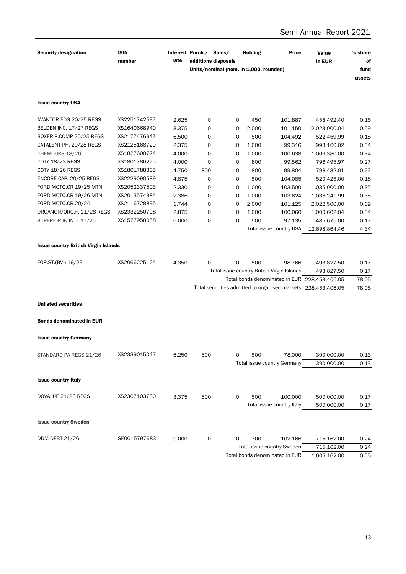### Semi-Annual Report 2021 **Security designation ISIN** Interest Purch./ Sales/ **Holding Price** Value % share rate additions disposals number in EUR of Units/nominal (nom. in 1.000, rounded) fund assets **Issue country USA** AVANTOR FDG 20/25 REGS XS2251742537 2.625  $\mathsf{O}\xspace$  $\mathsf{O}$ 450 101.887 458,492.40  $0.16$ BELDEN INC. 17/27 REGS XS1640668940 3.375  $\mathbf 0$  $\mathbf 0$ 2,000 101.150 2,023,000.04 0.69 XS2177476947 BOXER P.COMP 20/25 REGS 6.500  $\mathsf{O}\xspace$  $\circ$ 500 104.492 522,459.99  $0.18$ CATALENT PH. 20/28 REGS XS2125168729 2.375  $\mathsf{o}$  $\circ$ 1,000 99.316 993,160.02 0.34 CHEMOURS 18/26 XS1827600724 4.000  $\circ$  $\circ$ 1.000 100.638 1,006,380.00  $0.34$ COTY 18/23 REGS XS1801786275 4.000  $\mathsf{O}\xspace$  $\Omega$ 800 99.562 796,495.97  $0.27$ COTY 18/26 REGS XS1801788305 4.750 800  $\mathbf 0$ 800 99.804 798,432.01 0.27 ENCORE CAP. 20/25 REGS XS2229090589  $\mathsf{O}\xspace$ 500 520,425.00 4.875  $\mathbf 0$ 104.085  $0.18$ FORD MOTO.CR 19/25 MTN XS2052337503 2.330  $\mathbf 0$  $\mathsf{O}\xspace$ 1,000 103.500 1,035,000.00 0.35 FORD MOTO.CR 19/26 MTN XS2013574384 2.386  $\mathbf 0$  $\mathbf 0$ 1.000 103.624 1,036,241.99 0.35 FORD MOTO.CR 20/24 XS2116728895 1.744  $\Omega$  $\Omega$ 2,000 101.125 2,022,500.00 0.69 ORGANON/ORG.F. 21/28 REGS XS2332250708  $\mathbf 0$ 0.34 2.875  $\Omega$ 1,000 100.060 1,000,602.04 XS1577958058 SUPERIOR IN.INTL 17/25 6.000  $\mathbf 0$  $\mathbf 0$ 500 97.135 485,675.00  $0.17$ Total issue country USA 12,698,864.46 4.34 **Issue country British Virgin Islands** FOR.ST.(BVI) 19/23 XS2066225124 4.350  $\Omega$  $\Omega$ 500 493,827.50  $0.17$ 98.766 Total issue country British Virgin Islands 493,827.50  $0.17$ Total bonds denominated in EUR 228,453,406.05 78.05 Total securities admitted to organised markets 228,453,406.05 78.05 **Unlisted securities Bonds denominated in EUR Issue country Germany** XS2339015047 STANDARD PA REGS 21/26 6.250 500  $\Omega$ 500 78.000 390,000.00  $0.13$ Total issue country Germany 390,000.00  $0.13$ **Issue country Italy** DOVALUE 21/26 REGS XS2367103780 3.375  $\Omega$ 500 100.000 500 500,000.00  $0.17$ Total issue country Italy 500,000.00  $0.17$ **Issue country Sweden** DDM DEBT 21/26 SE0015797683 9.000  $\mathbf{O}$ 102.166  $\Omega$ 700 715,162.00  $0.24$ Total issue country Sweden 715,162.00  $0.24$

Total bonds denominated in EUR

0.55

1,605,162.00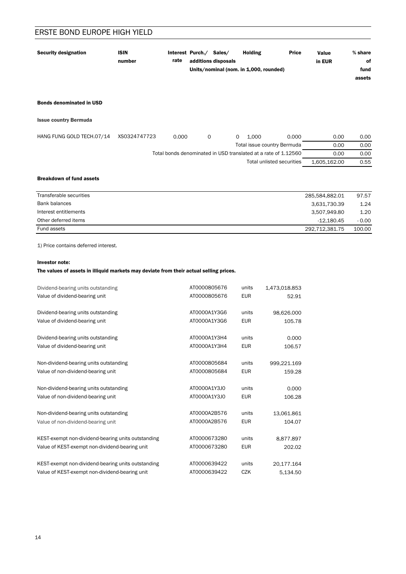| <b>Security designation</b>     | <b>ISIN</b><br>number | rate | Interest Purch./ | Sales/<br>additions disposals | <b>Holding</b>                         | <b>Price</b> | Value<br>in EUR | % share<br>0f  |
|---------------------------------|-----------------------|------|------------------|-------------------------------|----------------------------------------|--------------|-----------------|----------------|
|                                 |                       |      |                  |                               | Units/nominal (nom. in 1,000, rounded) |              |                 | fund<br>assets |
|                                 |                       |      |                  |                               |                                        |              |                 |                |
| <b>Bonds denominated in USD</b> |                       |      |                  |                               |                                        |              |                 |                |

Issue country Bermuda

| HANG FUNG GOLD TECH.07/14 | XS0324747723 | 0.000                                                          |  | 1.000 | 0.000                       | 0.00         | 0.00 |
|---------------------------|--------------|----------------------------------------------------------------|--|-------|-----------------------------|--------------|------|
|                           |              |                                                                |  |       | Total issue country Bermuda | 0.00         | 0.00 |
|                           |              | Total bonds denominated in USD translated at a rate of 1.12560 |  |       |                             | 0.00         | 0.00 |
|                           |              |                                                                |  |       | Total unlisted securities   | 1.605.162.00 | 0.55 |

### Breakdown of fund assets

| Transferable securities | 285.584.882.01 | 97.57   |
|-------------------------|----------------|---------|
| Bank balances           | 3,631,730.39   | 1.24    |
| Interest entitlements   | 3,507,949.80   | 1.20    |
| Other deferred items    | -12.180.45     | $-0.00$ |
| Fund assets             | 292,712,381.75 | 100.00  |

1) Price contains deferred interest.

### Investor note:

### The values of assets in illiquid markets may deviate from their actual selling prices.

| Dividend-bearing units outstanding                 | AT0000805676 | units      | 1,473,018.853 |
|----------------------------------------------------|--------------|------------|---------------|
| Value of dividend-bearing unit                     | AT0000805676 | <b>EUR</b> | 52.91         |
| Dividend-bearing units outstanding                 | AT0000A1Y3G6 | units      | 98,626.000    |
| Value of dividend-bearing unit                     | AT0000A1Y3G6 | <b>EUR</b> | 105.78        |
| Dividend-bearing units outstanding                 | AT0000A1Y3H4 | units      | 0.000         |
| Value of dividend-bearing unit                     | AT0000A1Y3H4 | <b>EUR</b> | 106.57        |
| Non-dividend-bearing units outstanding             | AT0000805684 | units      | 999,221.169   |
| Value of non-dividend-bearing unit                 | AT0000805684 | <b>EUR</b> | 159.28        |
| Non-dividend-bearing units outstanding             | AT0000A1Y3J0 | units      | 0.000         |
| Value of non-dividend-bearing unit                 | AT0000A1Y3J0 | <b>EUR</b> | 106.28        |
| Non-dividend-bearing units outstanding             | AT0000A2B576 | units      | 13.061.861    |
| Value of non-dividend-bearing unit                 | AT0000A2B576 | <b>EUR</b> | 104.07        |
| KEST-exempt non-dividend-bearing units outstanding | AT0000673280 | units      | 8,877.897     |
| Value of KEST-exempt non-dividend-bearing unit     | AT0000673280 | <b>EUR</b> | 202.02        |
| KEST-exempt non-dividend-bearing units outstanding | AT0000639422 | units      | 20,177.164    |
| Value of KEST-exempt non-dividend-bearing unit     | AT0000639422 | <b>CZK</b> | 5.134.50      |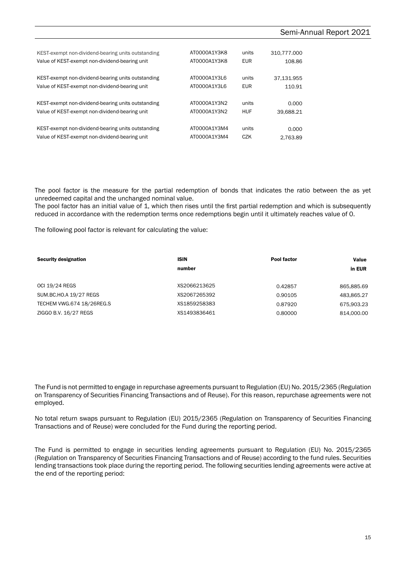| KEST-exempt non-dividend-bearing units outstanding | AT0000A1Y3K8 | units      | 310.777.000 |
|----------------------------------------------------|--------------|------------|-------------|
| Value of KEST-exempt non-dividend-bearing unit     | AT0000A1Y3K8 | <b>EUR</b> | 108.86      |
| KEST-exempt non-dividend-bearing units outstanding | AT0000A1Y3L6 | units      | 37.131.955  |
| Value of KEST-exempt non-dividend-bearing unit     | AT0000A1Y3L6 | <b>EUR</b> | 110.91      |
| KEST-exempt non-dividend-bearing units outstanding | AT0000A1Y3N2 | units      | 0.000       |
| Value of KEST-exempt non-dividend-bearing unit     | AT0000A1Y3N2 | HUF        | 39.688.21   |
| KEST-exempt non-dividend-bearing units outstanding | AT0000A1Y3M4 | units      | 0.000       |
| Value of KEST-exempt non-dividend-bearing unit     | AT0000A1Y3M4 | CZK        | 2.763.89    |

The pool factor is the measure for the partial redemption of bonds that indicates the ratio between the as yet unredeemed capital and the unchanged nominal value.

The pool factor has an initial value of 1, which then rises until the first partial redemption and which is subsequently reduced in accordance with the redemption terms once redemptions begin until it ultimately reaches value of 0.

The following pool factor is relevant for calculating the value:

| <b>Security designation</b> | <b>ISIN</b>  | Pool factor | Value      |
|-----------------------------|--------------|-------------|------------|
|                             | number       |             | in EUR     |
|                             |              |             |            |
| <b>OCI 19/24 REGS</b>       | XS2066213625 | 0.42857     | 865.885.69 |
| SUM.BC.HO.A 19/27 REGS      | XS2067265392 | 0.90105     | 483,865.27 |
| TECHEM VWG.674 18/26REG.S   | XS1859258383 | 0.87920     | 675.903.23 |
| ZIGGO B.V. 16/27 REGS       | XS1493836461 | 0.80000     | 814.000.00 |

The Fund is not permitted to engage in repurchase agreements pursuant to Regulation (EU) No. 2015/2365 (Regulation on Transparency of Securities Financing Transactions and of Reuse). For this reason, repurchase agreements were not employed.

No total return swaps pursuant to Regulation (EU) 2015/2365 (Regulation on Transparency of Securities Financing Transactions and of Reuse) were concluded for the Fund during the reporting period.

The Fund is permitted to engage in securities lending agreements pursuant to Regulation (EU) No. 2015/2365 (Regulation on Transparency of Securities Financing Transactions and of Reuse) according to the fund rules. Securities lending transactions took place during the reporting period. The following securities lending agreements were active at the end of the reporting period: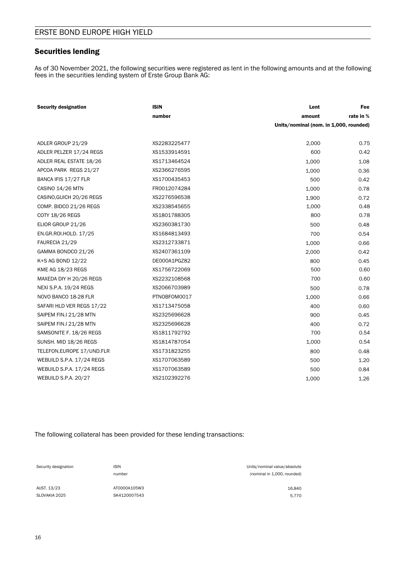### Securities lending

As of 30 November 2021, the following securities were registered as lent in the following amounts and at the following fees in the securities lending system of Erste Group Bank AG:

| <b>Security designation</b> | <b>ISIN</b>  | Lent                                   | Fee       |
|-----------------------------|--------------|----------------------------------------|-----------|
|                             | number       | amount                                 | rate in % |
|                             |              | Units/nominal (nom. in 1,000, rounded) |           |
|                             |              |                                        |           |
| ADLER GROUP 21/29           | XS2283225477 | 2,000                                  | 0.75      |
| ADLER PELZER 17/24 REGS     | XS1533914591 | 600                                    | 0.42      |
| ADLER REAL ESTATE 18/26     | XS1713464524 | 1,000                                  | 1.08      |
| APCOA PARK REGS 21/27       | XS2366276595 | 1,000                                  | 0.36      |
| BANCA IFIS 17/27 FLR        | XS1700435453 | 500                                    | 0.42      |
| CASINO 14/26 MTN            | FR0012074284 | 1,000                                  | 0.78      |
| CASINO, GUICH 20/26 REGS    | XS2276596538 | 1,900                                  | 0.72      |
| COMP. BIDCO 21/26 REGS      | XS2338545655 | 1,000                                  | 0.48      |
| COTY 18/26 REGS             | XS1801788305 | 800                                    | 0.78      |
| ELIOR GROUP 21/26           | XS2360381730 | 500                                    | 0.48      |
| EN.GR.ROI.HOLD. 17/25       | XS1684813493 | 700                                    | 0.54      |
| FAURECIA 21/29              | XS2312733871 | 1,000                                  | 0.66      |
| GAMMA BONDCO 21/26          | XS2407361109 | 2,000                                  | 0.42      |
| K+S AG BOND 12/22           | DE000A1PGZ82 | 800                                    | 0.45      |
| KME AG 18/23 REGS           | XS1756722069 | 500                                    | 0.60      |
| MAXEDA DIY H 20/26 REGS     | XS2232108568 | 700                                    | 0.60      |
| NEXI S.P.A. 19/24 REGS      | XS2066703989 | 500                                    | 0.78      |
| NOVO BANCO 18-28 FLR        | PTNOBFOM0017 | 1,000                                  | 0.66      |
| SAFARI HLD VER REGS 17/22   | XS1713475058 | 400                                    | 0.60      |
| SAIPEM FIN.I 21/28 MTN      | XS2325696628 | 900                                    | 0.45      |
| SAIPEM FIN.I 21/28 MTN      | XS2325696628 | 400                                    | 0.72      |
| SAMSONITE F. 18/26 REGS     | XS1811792792 | 700                                    | 0.54      |
| SUNSH. MID 18/26 REGS       | XS1814787054 | 1,000                                  | 0.54      |
| TELEFON.EUROPE 17/UND.FLR   | XS1731823255 | 800                                    | 0.48      |
| WEBUILD S.P.A. 17/24 REGS   | XS1707063589 | 500                                    | 1.20      |
| WEBUILD S.P.A. 17/24 REGS   | XS1707063589 | 500                                    | 0.84      |
| WEBUILD S.P.A. 20/27        | XS2102392276 | 1,000                                  | 1.26      |

The following collateral has been provided for these lending transactions:

Security designation **ISIN** ISIN ISIN **ISIN** Units/nominal value/absolute number (nominal in 1,000, rounded)

SLOVAKIA 2025 SK4120007543 5,770

AUST. 13/23 4T0000A105W3 4T0000A105W3 16,840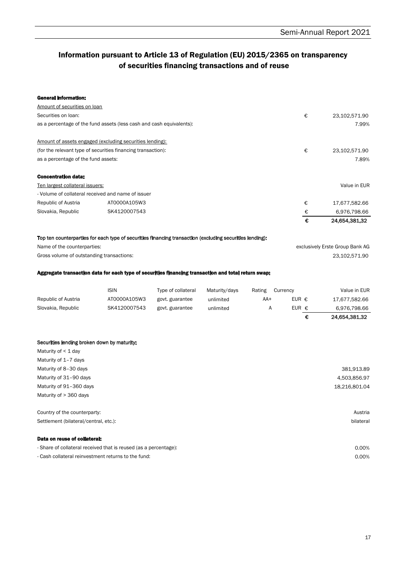### Information pursuant to Article 13 of Regulation (EU) 2015/2365 on transparency of securities financing transactions and of reuse

| <b>General Information:</b>                                                                              |                              |                    |                        |          |                                  |   |                                 |
|----------------------------------------------------------------------------------------------------------|------------------------------|--------------------|------------------------|----------|----------------------------------|---|---------------------------------|
| Amount of securities on loan                                                                             |                              |                    |                        |          |                                  |   |                                 |
| Securities on loan:                                                                                      |                              |                    |                        |          |                                  | € | 23,102,571.90                   |
| as a percentage of the fund assets (less cash and cash equivalents):                                     |                              |                    |                        |          |                                  |   | 7.99%                           |
| Amount of assets engaged (excluding securities lending):                                                 |                              |                    |                        |          |                                  |   |                                 |
| (for the relevant type of securities financing transaction):                                             |                              |                    |                        |          | €                                |   | 23,102,571.90                   |
| as a percentage of the fund assets:                                                                      |                              |                    |                        |          |                                  |   | 7.89%                           |
| <b>Concentration data:</b>                                                                               |                              |                    |                        |          |                                  |   |                                 |
| Ten largest collateral issuers:                                                                          |                              |                    |                        |          |                                  |   | Value in EUR                    |
| - Volume of collateral received and name of issuer                                                       |                              |                    |                        |          |                                  |   |                                 |
| Republic of Austria                                                                                      | AT0000A105W3                 |                    |                        |          |                                  | € | 17,677,582.66                   |
| Slovakia, Republic                                                                                       | SK4120007543                 |                    |                        |          |                                  | € | 6,976,798.66                    |
|                                                                                                          |                              |                    |                        |          |                                  | € | 24,654,381.32                   |
| Top ten counterparties for each type of securities financing transaction (excluding securities lending): |                              |                    |                        |          |                                  |   |                                 |
| Name of the counterparties:                                                                              |                              |                    |                        |          |                                  |   | exclusively Erste Group Bank AG |
| Gross volume of outstanding transactions:                                                                |                              |                    |                        |          |                                  |   | 23,102,571.90                   |
| Aggregate transaction data for each type of securities financing transaction and total return swap:      | <b>ISIN</b>                  | Type of collateral | Maturity/days          | Rating   | Currency                         |   | Value in EUR                    |
|                                                                                                          |                              |                    |                        |          |                                  |   |                                 |
| Republic of Austria<br>Slovakia, Republic                                                                | AT0000A105W3<br>SK4120007543 | govt. guarantee    | unlimited<br>unlimited | AA+<br>Α | EUR $\epsilon$<br>EUR $\epsilon$ |   | 17,677,582.66                   |
|                                                                                                          |                              | govt. guarantee    |                        |          |                                  | € | 6,976,798.66<br>24,654,381.32   |
|                                                                                                          |                              |                    |                        |          |                                  |   |                                 |
| Securities lending broken down by maturity:                                                              |                              |                    |                        |          |                                  |   |                                 |
| Maturity of < 1 day                                                                                      |                              |                    |                        |          |                                  |   |                                 |
| Maturity of 1-7 days                                                                                     |                              |                    |                        |          |                                  |   |                                 |
| Maturity of 8-30 days                                                                                    |                              |                    |                        |          |                                  |   | 381,913.89                      |
| Maturity of 31-90 days                                                                                   |                              |                    |                        |          |                                  |   | 4,503,856.97                    |
| Maturity of 91-360 days                                                                                  |                              |                    |                        |          |                                  |   | 18,216,801.04                   |
| Maturity of > 360 days                                                                                   |                              |                    |                        |          |                                  |   |                                 |
| Country of the counterparty:                                                                             |                              |                    |                        |          |                                  |   | Austria                         |
| Settlement (bilateral/central, etc.):                                                                    |                              |                    |                        |          |                                  |   | bilateral                       |
| Data on reuse of collateral:                                                                             |                              |                    |                        |          |                                  |   |                                 |
| - Share of collateral received that is reused (as a percentage):                                         |                              |                    |                        |          |                                  |   | 0.00%                           |

- Cash collateral reinvestment returns to the fund: 0.00%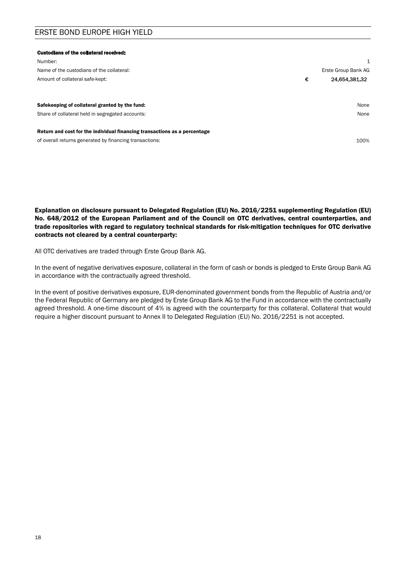| <b>Custodians of the collateral received:</b>                                                                                        |   |                     |
|--------------------------------------------------------------------------------------------------------------------------------------|---|---------------------|
| Number:                                                                                                                              |   | 1                   |
| Name of the custodians of the collateral:                                                                                            |   | Erste Group Bank AG |
| Amount of collateral safe-kept:                                                                                                      | € | 24,654,381.32       |
|                                                                                                                                      |   |                     |
| Safekeeping of collateral granted by the fund:                                                                                       |   | None                |
| Share of collateral held in segregated accounts:                                                                                     |   | None                |
| Return and cost for the individual financing transactions as a percentage<br>of overall returns generated by financing transactions: |   | 100%                |

Explanation on disclosure pursuant to Delegated Regulation (EU) No. 2016/2251 supplementing Regulation (EU) No. 648/2012 of the European Parliament and of the Council on OTC derivatives, central counterparties, and trade repositories with regard to regulatory technical standards for risk-mitigation techniques for OTC derivative contracts not cleared by a central counterparty:

All OTC derivatives are traded through Erste Group Bank AG.

In the event of negative derivatives exposure, collateral in the form of cash or bonds is pledged to Erste Group Bank AG in accordance with the contractually agreed threshold.

In the event of positive derivatives exposure, EUR-denominated government bonds from the Republic of Austria and/or the Federal Republic of Germany are pledged by Erste Group Bank AG to the Fund in accordance with the contractually agreed threshold. A one-time discount of 4% is agreed with the counterparty for this collateral. Collateral that would require a higher discount pursuant to Annex II to Delegated Regulation (EU) No. 2016/2251 is not accepted.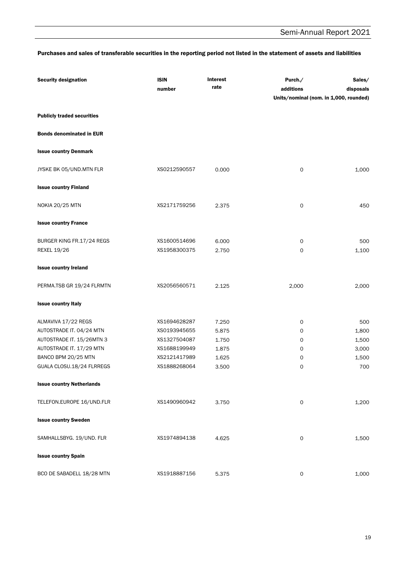### Purchases and sales of transferable securities in the reporting period not listed in the statement of assets and liabilities

| <b>Security designation</b>       | <b>ISIN</b><br>number | Interest<br>rate | Purch./<br>additions<br>Units/nominal (nom. in 1,000, rounded) | Sales/<br>disposals |
|-----------------------------------|-----------------------|------------------|----------------------------------------------------------------|---------------------|
| <b>Publicly traded securities</b> |                       |                  |                                                                |                     |
| <b>Bonds denominated in EUR</b>   |                       |                  |                                                                |                     |
| <b>Issue country Denmark</b>      |                       |                  |                                                                |                     |
| JYSKE BK 05/UND.MTN FLR           | XS0212590557          | 0.000            | $\mathsf O$                                                    | 1,000               |
| <b>Issue country Finland</b>      |                       |                  |                                                                |                     |
| <b>NOKIA 20/25 MTN</b>            | XS2171759256          | 2.375            | 0                                                              | 450                 |
| <b>Issue country France</b>       |                       |                  |                                                                |                     |
| BURGER KING FR.17/24 REGS         | XS1600514696          | 6.000            | 0                                                              | 500                 |
| <b>REXEL 19/26</b>                | XS1958300375          | 2.750            | $\mathsf{o}$                                                   | 1,100               |
| <b>Issue country Ireland</b>      |                       |                  |                                                                |                     |
| PERMA.TSB GR 19/24 FLRMTN         | XS2056560571          | 2.125            | 2,000                                                          | 2,000               |
| <b>Issue country Italy</b>        |                       |                  |                                                                |                     |
| ALMAVIVA 17/22 REGS               | XS1694628287          | 7.250            | 0                                                              | 500                 |
| AUTOSTRADE IT. 04/24 MTN          | XS0193945655          | 5.875            | 0                                                              | 1,800               |
| AUTOSTRADE IT. 15/26MTN 3         | XS1327504087          | 1.750            | 0                                                              | 1,500               |
| AUTOSTRADE IT. 17/29 MTN          | XS1688199949          | 1.875            | 0                                                              | 3,000               |
| BANCO BPM 20/25 MTN               | XS2121417989          | 1.625            | 0                                                              | 1,500               |
| GUALA CLOSU.18/24 FLRREGS         | XS1888268064          | 3.500            | 0                                                              | 700                 |
| <b>Issue country Netherlands</b>  |                       |                  |                                                                |                     |
| TELEFON.EUROPE 16/UND.FLR         | XS1490960942          | 3.750            | $\mathsf{O}\xspace$                                            | 1,200               |
| <b>Issue country Sweden</b>       |                       |                  |                                                                |                     |
| SAMHALLSBYG. 19/UND. FLR          | XS1974894138          | 4.625            | $\mathsf{O}\xspace$                                            | 1,500               |
| <b>Issue country Spain</b>        |                       |                  |                                                                |                     |
| BCO DE SABADELL 18/28 MTN         | XS1918887156          | 5.375            | $\mathsf O$                                                    | 1,000               |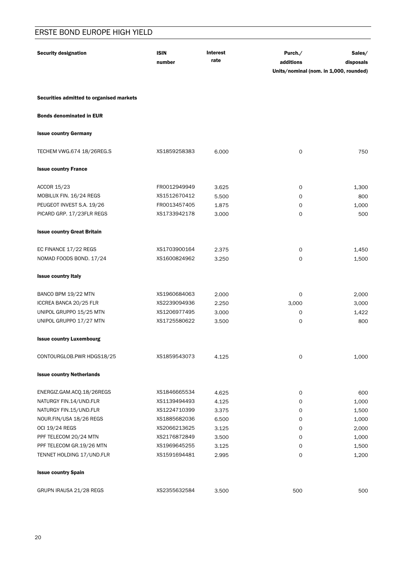| <b>Security designation</b>              | <b>ISIN</b>  | <b>Interest</b> | Purch./                                | Sales/    |
|------------------------------------------|--------------|-----------------|----------------------------------------|-----------|
|                                          | number       | rate            | additions                              | disposals |
|                                          |              |                 | Units/nominal (nom. in 1,000, rounded) |           |
| Securities admitted to organised markets |              |                 |                                        |           |
| <b>Bonds denominated in EUR</b>          |              |                 |                                        |           |
| <b>Issue country Germany</b>             |              |                 |                                        |           |
| TECHEM VWG.674 18/26REG.S                | XS1859258383 | 6.000           | $\mathsf O$                            | 750       |
| <b>Issue country France</b>              |              |                 |                                        |           |
| <b>ACCOR 15/23</b>                       | FR0012949949 | 3.625           | 0                                      | 1,300     |
| MOBILUX FIN. 16/24 REGS                  | XS1512670412 | 5.500           | 0                                      | 800       |
| PEUGEOT INVEST S.A. 19/26                | FR0013457405 | 1.875           | 0                                      | 1,000     |
| PICARD GRP. 17/23FLR REGS                | XS1733942178 | 3.000           | 0                                      | 500       |
| <b>Issue country Great Britain</b>       |              |                 |                                        |           |
| EC FINANCE 17/22 REGS                    | XS1703900164 | 2.375           | 0                                      | 1,450     |
| NOMAD FOODS BOND. 17/24                  | XS1600824962 | 3.250           | 0                                      | 1,500     |
| <b>Issue country Italy</b>               |              |                 |                                        |           |
| BANCO BPM 19/22 MTN                      | XS1960684063 | 2.000           | 0                                      | 2,000     |
| ICCREA BANCA 20/25 FLR                   | XS2239094936 | 2.250           | 3,000                                  | 3,000     |
| UNIPOL GRUPPO 15/25 MTN                  | XS1206977495 | 3.000           | 0                                      | 1,422     |
| UNIPOL GRUPPO 17/27 MTN                  | XS1725580622 | 3.500           | $\mathbf 0$                            | 800       |
| <b>Issue country Luxembourg</b>          |              |                 |                                        |           |
| CONTOURGLOB.PWR HDGS18/25                | XS1859543073 | 4.125           | 0                                      | 1,000     |
| <b>Issue country Netherlands</b>         |              |                 |                                        |           |
| ENERGIZ.GAM.ACQ.18/26REGS                | XS1846665534 | 4.625           | 0                                      | 600       |
| NATURGY FIN.14/UND.FLR                   | XS1139494493 | 4.125           | 0                                      | 1,000     |
| NATURGY FIN.15/UND.FLR                   | XS1224710399 | 3.375           | 0                                      | 1,500     |
| NOUR.FIN/USA 18/26 REGS                  | XS1885682036 | 6.500           | 0                                      | 1,000     |
| OCI 19/24 REGS                           | XS2066213625 | 3.125           | 0                                      | 2,000     |
| PPF TELECOM 20/24 MTN                    | XS2176872849 | 3.500           | 0                                      | 1,000     |
| PPF TELECOM GR.19/26 MTN                 | XS1969645255 | 3.125           | 0                                      | 1,500     |
| TENNET HOLDING 17/UND.FLR                | XS1591694481 | 2.995           | 0                                      | 1,200     |
| <b>Issue country Spain</b>               |              |                 |                                        |           |
| GRUPN IRAUSA 21/28 REGS                  | XS2355632584 | 3.500           | 500                                    | 500       |